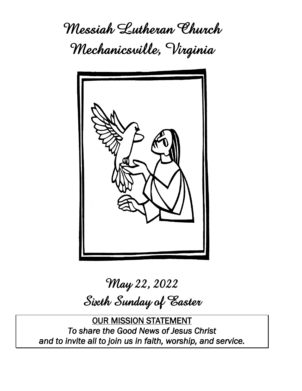**Messiah Lutheran Church Mechanicsville, Virginia**



# **May 22, 2022 Sixth Sunday of Easter**

OUR MISSION STATEMENT *To share the Good News of Jesus Christ and to invite all to join us in faith, worship, and service.*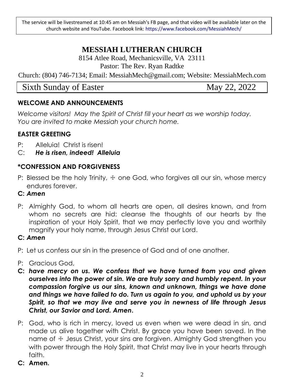The service will be livestreamed at 10:45 am on Messiah's FB page, and that video will be available later on the church website and YouTube. Facebook link: https://www.facebook.com/MessiahMech/

# **MESSIAH LUTHERAN CHURCH**

8154 Atlee Road, Mechanicsville, VA 23111 Pastor: The Rev. Ryan Radtke

Church: (804) 746-7134; Email: MessiahMech@gmail.com; Website: MessiahMech.com

Sixth Sunday of Easter May 22, 2022

#### **WELCOME AND ANNOUNCEMENTS**

*Welcome visitors! May the Spirit of Christ fill your heart as we worship today. You are invited to make Messiah your church home.*

#### **EASTER GREETING**

- P: Alleluia! Christ is risen!
- C: *He is risen, indeed! Alleluia*

# **\*CONFESSION AND FORGIVENESS**

- P: Blessed be the holy Trinity,  $\pm$  one God, who forgives all our sin, whose mercy endures forever.
- **C:** *Amen*
- P: Almighty God, to whom all hearts are open, all desires known, and from whom no secrets are hid: cleanse the thoughts of our hearts by the inspiration of your Holy Spirit, that we may perfectly love you and worthily magnify your holy name, through Jesus Christ our Lord.
- **C:** *Amen*
- P: Let us confess our sin in the presence of God and of one another.
- P: Gracious God,
- **C:** *have mercy on us. We confess that we have turned from you and given ourselves into the power of sin. We are truly sorry and humbly repent. In your compassion forgive us our sins, known and unknown, things we have done and things we have failed to do. Turn us again to you, and uphold us by your Spirit, so that we may live and serve you in newness of life through Jesus Christ, our Savior and Lord. Amen***.**
- P: God, who is rich in mercy, loved us even when we were dead in sin, and made us alive together with Christ. By grace you have been saved. In the name of  $\pm$  Jesus Christ, your sins are forgiven. Almighty God strengthen you with power through the Holy Spirit, that Christ may live in your hearts through faith.
- **C: Amen.**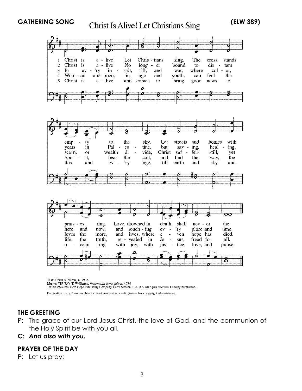

Text: Brian A. Wren, b. 1936<br>Music: TRURO, T. Williams, *Psalmodia Evangelica*, 1789<br>Text © 1975, rev. 1995 Hope Publishing Company, Carol Stream, IL 60188. All rights reserved. Used by permission.

Duplication in any form prohibited without permission or valid license from copyright administrator.

#### **THE GREETING**

- P: The grace of our Lord Jesus Christ, the love of God, and the communion of the Holy Spirit be with you all.
- **C:** *And also with you.*

#### **PRAYER OF THE DAY**

P: Let us pray: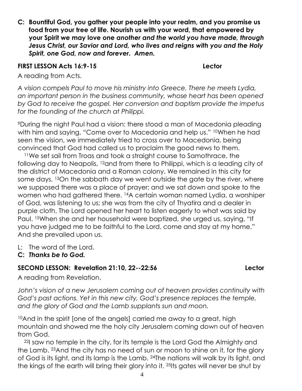**C: Bountiful God, you gather your people into your realm, and you promise us food from your tree of life. Nourish us with your word, that empowered by your Spirit we may love one** *another and the world you have made, through Jesus Christ, our Savior and Lord, who lives and reigns with you and the Holy Spirit, one God, now and forever. Amen.*

#### **FIRST LESSON Acts 16:9-15 Lector**

A reading from Acts.

*A vision compels Paul to move his ministry into Greece. There he meets Lydia, an important person in the business community, whose heart has been opened by God to receive the gospel. Her conversion and baptism provide the impetus for the founding of the church at Philippi.*

<sup>9</sup>During the night Paul had a vision: there stood a man of Macedonia pleading with him and saying, "Come over to Macedonia and help us." <sup>10</sup>When he had seen the vision, we immediately tried to cross over to Macedonia, being convinced that God had called us to proclaim the good news to them.

<sup>11</sup>We set sail from Troas and took a straight course to Samothrace, the following day to Neapolis, 12and from there to Philippi, which is a leading city of the district of Macedonia and a Roman colony. We remained in this city for some days. <sup>13</sup>On the sabbath day we went outside the gate by the river, where we supposed there was a place of prayer; and we sat down and spoke to the women who had gathered there. 14A certain woman named Lydia, a worshiper of God, was listening to us; she was from the city of Thyatira and a dealer in purple cloth. The Lord opened her heart to listen eagerly to what was said by Paul. 15When she and her household were baptized, she urged us, saying, "If you have judged me to be faithful to the Lord, come and stay at my home." And she prevailed upon us.

L: The word of the Lord.

# **C:** *Thanks be to God.*

# **SECOND LESSON: Revelation 21:10, 22--22:56 Lector**

A reading from Revelation.

John's vision of a new Jerusalem coming out of heaven provides continuity with *God's past actions. Yet in this new city, God's presence replaces the temple, and the glory of God and the Lamb supplants sun and moon.*

<sup>10</sup>And in the spirit [one of the angels] carried me away to a great, high mountain and showed me the holy city Jerusalem coming down out of heaven from God.

<sup>22</sup>I saw no temple in the city, for its temple is the Lord God the Almighty and the Lamb. 23And the city has no need of sun or moon to shine on it, for the glory of God is its light, and its lamp is the Lamb. 24The nations will walk by its light, and the kings of the earth will bring their glory into it. <sup>25</sup>Its gates will never be shut by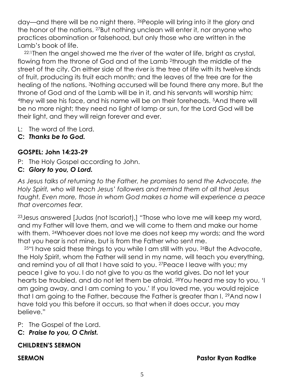day—and there will be no night there. 26People will bring into it the glory and the honor of the nations. 27But nothing unclean will enter it, nor anyone who practices abomination or falsehood, but only those who are written in the Lamb's book of life.

22:1Then the angel showed me the river of the water of life, bright as crystal, flowing from the throne of God and of the Lamb 2through the middle of the street of the city. On either side of the river is the tree of life with its twelve kinds of fruit, producing its fruit each month; and the leaves of the tree are for the healing of the nations. 3Nothing accursed will be found there any more. But the throne of God and of the Lamb will be in it, and his servants will worship him; <sup>4</sup>they will see his face, and his name will be on their foreheads. 5And there will be no more night; they need no light of lamp or sun, for the Lord God will be their light, and they will reign forever and ever.

- L: The word of the Lord.
- **C:** *Thanks be to God.*

# **GOSPEL: John 14:23-29**

- P: The Holy Gospel according to John.
- **C:** *Glory to you, O Lord.*

*As Jesus talks of returning to the Father, he promises to send the Advocate, the Holy Spirit, who will teach Jesus' followers and remind them of all that Jesus taught. Even more, those in whom God makes a home will experience a peace that overcomes fear.*

<sup>23</sup>Jesus answered [Judas (not Iscariot),] "Those who love me will keep my word, and my Father will love them, and we will come to them and make our home with them. <sup>24</sup>Whoever does not love me does not keep my words; and the word that you hear is not mine, but is from the Father who sent me.

<sup>25</sup>"I have said these things to you while I am still with you. 26But the Advocate, the Holy Spirit, whom the Father will send in my name, will teach you everything, and remind you of all that I have said to you. 27Peace I leave with you; my peace I give to you. I do not give to you as the world gives. Do not let your hearts be troubled, and do not let them be afraid. 28You heard me say to you, 'I am going away, and I am coming to you.' If you loved me, you would rejoice that I am going to the Father, because the Father is greater than I. 29And now I have told you this before it occurs, so that when it does occur, you may believe."

P: The Gospel of the Lord.

**C:** *Praise to you, O Christ.*

# **CHILDREN'S SERMON**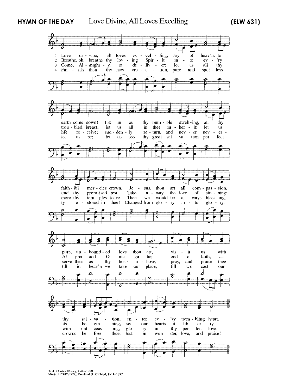**HYMN OF THE DAY (ELW 631)**

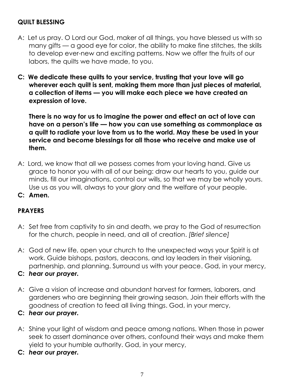#### **QUILT BLESSING**

- A: Let us pray. O Lord our God, maker of all things, you have blessed us with so many gifts — a good eye for color, the ability to make fine stitches, the skills to develop ever-new and exciting patterns. Now we offer the fruits of our labors, the quilts we have made, to you.
- **C: We dedicate these quilts to your service, trusting that your love will go wherever each quilt is sent, making them more than just pieces of material, a collection of items — you will make each piece we have created an expression of love.**

**There is no way for us to imagine the power and effect an act of love can have on a person's life — how you can use something as commonplace as a quilt to radiate your love from us to the world. May these be used in your service and become blessings for all those who receive and make use of them.** 

- A: Lord, we know that all we possess comes from your loving hand. Give us grace to honor you with all of our being: draw our hearts to you, guide our minds, fill our imaginations, control our wills, so that we may be wholly yours. Use us as you will, always to your glory and the welfare of your people.
- **C: Amen.**

#### **PRAYERS**

- A: Set free from captivity to sin and death, we pray to the God of resurrection for the church, people in need, and all of creation. *[Brief silence]*
- A: God of new life, open your church to the unexpected ways your Spirit is at work. Guide bishops, pastors, deacons, and lay leaders in their visioning, partnership, and planning. Surround us with your peace. God, in your mercy,
- **C:** *hear our prayer.*
- A: Give a vision of increase and abundant harvest for farmers, laborers, and gardeners who are beginning their growing season. Join their efforts with the goodness of creation to feed all living things. God, in your mercy,
- **C:** *hear our prayer.*
- A: Shine your light of wisdom and peace among nations. When those in power seek to assert dominance over others, confound their ways and make them yield to your humble authority. God, in your mercy,
- **C:** *hear our prayer.*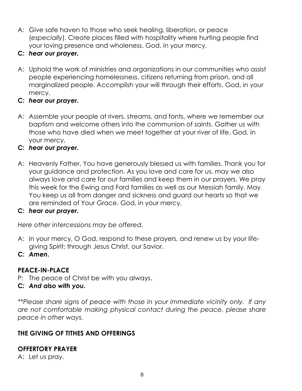- A: Give safe haven to those who seek healing, liberation, or peace (*especially*). Create places filled with hospitality where hurting people find your loving presence and wholeness. God, in your mercy,
- **C:** *hear our prayer.*
- A: Uphold the work of ministries and organizations in our communities who assist people experiencing homelessness, citizens returning from prison, and all marginalized people. Accomplish your will through their efforts. God, in your mercy,
- **C:** *hear our prayer.*
- A: Assemble your people at rivers, streams, and fonts, where we remember our baptism and welcome others into the communion of saints. Gather us with those who have died when we meet together at your river of life. God, in your mercy,

# **C:** *hear our prayer.*

A: Heavenly Father, You have generously blessed us with families. Thank you for your guidance and protection. As you love and care for us, may we also always love and care for our families and keep them in our prayers. We pray this week for the Ewing and Ford families as well as our Messiah family. May You keep us all from danger and sickness and guard our hearts so that we are reminded of Your Grace. God, in your mercy,

# **C:** *hear our prayer.*

*Here other intercessions may be offered.*

A: In your mercy, O God, respond to these prayers, and renew us by your lifegiving Spirit; through Jesus Christ, our Savior.

#### **C:** *Amen***.**

# **PEACE-IN-PLACE**

P: The peace of Christ be with you always.

#### **C***: And also with you.*

*\*\*Please share signs of peace with those in your immediate vicinity only. If any are not comfortable making physical contact during the peace, please share peace in other ways.*

# **THE GIVING OF TITHES AND OFFERINGS**

# **OFFERTORY PRAYER**

A: Let us pray.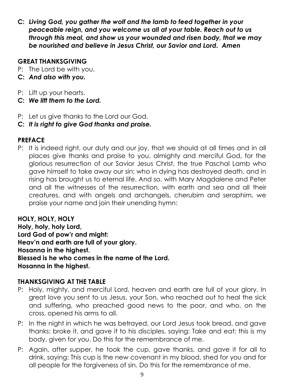**C:** *Living God, you gather the wolf and the lamb to feed together in your peaceable reign, and you welcome us all at your table. Reach out to us through this meal, and show us your wounded and risen body, that we may be nourished and believe in Jesus Christ, our Savior and Lord. Amen*

#### **GREAT THANKSGIVING**

- P: The Lord be with you.
- **C:** *And also with you.*
- P: Lift up your hearts.
- **C:** *We lift them to the Lord.*
- P: Let us give thanks to the Lord our God.
- **C:** *It is right to give God thanks and praise.*

#### **PREFACE**

P: It is indeed right, our duty and our joy, that we should at all times and in all places give thanks and praise to you, almighty and merciful God, for the glorious resurrection of our Savior Jesus Christ, the true Paschal Lamb who gave himself to take away our sin; who in dying has destroyed death, and in rising has brought us to eternal life. And so, with Mary Magdalene and Peter and all the witnesses of the resurrection, with earth and sea and all their creatures, and with angels and archangels, cherubim and seraphim, we praise your name and join their unending hymn:

**HOLY, HOLY, HOLY Holy, holy, holy Lord, Lord God of pow'r and might: Heav'n and earth are full of your glory. Hosanna in the highest. Blessed is he who comes in the name of the Lord. Hosanna in the highest.**

#### **THANKSGIVING AT THE TABLE**

- P: Holy, mighty, and merciful Lord, heaven and earth are full of your glory. In great love you sent to us Jesus, your Son, who reached out to heal the sick and suffering, who preached good news to the poor, and who, on the cross, opened his arms to all.
- P: In the night in which he was betrayed, our Lord Jesus took bread, and gave thanks; broke it, and gave it to his disciples, saying: Take and eat; this is my body, given for you. Do this for the remembrance of me.
- P: Again, after supper, he took the cup, gave thanks, and gave it for all to drink, saying: This cup is the new covenant in my blood, shed for you and for all people for the forgiveness of sin. Do this for the remembrance of me.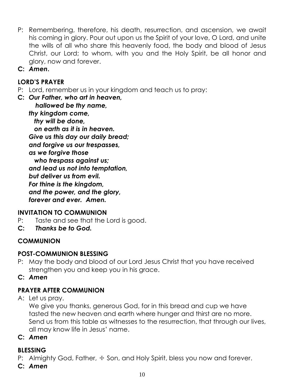- P: Remembering, therefore, his death, resurrection, and ascension, we await his coming in glory. Pour out upon us the Spirit of your love, O Lord, and unite the wills of all who share this heavenly food, the body and blood of Jesus Christ, our Lord; to whom, with you and the Holy Spirit, be all honor and glory, now and forever.
- **C:** *Amen***.**

# **LORD'S PRAYER**

- P: Lord, remember us in your kingdom and teach us to pray:
- **C:** *Our Father, who art in heaven, hallowed be thy name,*

*thy kingdom come, thy will be done, on earth as it is in heaven. Give us this day our daily bread; and forgive us our trespasses, as we forgive those who trespass against us; and lead us not into temptation, but deliver us from evil. For thine is the kingdom, and the power, and the glory, forever and ever. Amen.*

#### **INVITATION TO COMMUNION**

- P: Taste and see that the Lord is good.
- **C:** *Thanks be to God.*

# **COMMUNION**

#### **POST-COMMUNION BLESSING**

- P: May the body and blood of our Lord Jesus Christ that you have received strengthen you and keep you in his grace.
- **C:** *Amen*

# **PRAYER AFTER COMMUNION**

A: Let us pray.

We give you thanks, generous God, for in this bread and cup we have tasted the new heaven and earth where hunger and thirst are no more. Send us from this table as witnesses to the resurrection, that through our lives, all may know life in Jesus' name.

#### **C:** *Amen*

#### **BLESSING**

P: Almighty God, Father,  $\pm$  Son, and Holy Spirit, bless you now and forever.

#### **C:** *Amen*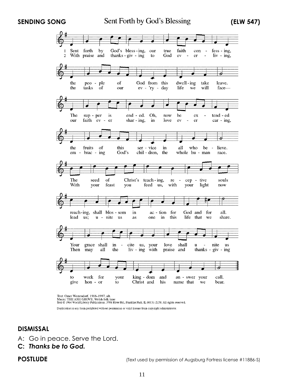**SENDING SONG** Sent Forth by God's Blessing (ELW 547)



Text: Omer Westendorf, 1916–1997, alt.<br>Music: THE ASH GROVE, Welsh folk tune<br>Text © 1964 World Library Publications, 3708 River Rd., Franklin Park. IL 60131-2158. All rights reserved.

Duplication in any form prohibited without permission or valid license from copyright administrator.

#### **DISMISSAL**

- A: Go in peace. Serve the Lord.
- **C:** *Thanks be to God.*

**POSTLUDE** (Text used by permission of Augsburg Fortress license #11886-S)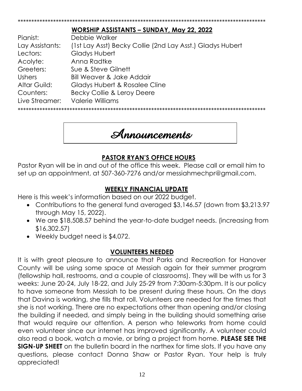|                 | WORSHIP ASSISTANTS - SUNDAY, May 22, 2022                 |
|-----------------|-----------------------------------------------------------|
| Pianist:        | Debbie Walker                                             |
| Lay Assistants: | (1st Lay Asst) Becky Collie (2nd Lay Asst.) Gladys Hubert |
| Lectors:        | Gladys Hubert                                             |
| Acolyte:        | Anna Radtke                                               |
| Greeters:       | Sue & Steve Gilnett                                       |
| <b>Ushers</b>   | <b>Bill Weaver &amp; Jake Addair</b>                      |
| Altar Guild:    | Gladys Hubert & Rosalee Cline                             |
| Counters:       | Becky Collie & Leroy Deere                                |
| Live Streamer:  | <b>Valerie Williams</b>                                   |
|                 |                                                           |

\*\*\*\*\*\*\*\*\*\*\*\*\*\*\*\*\*\*\*\*\*\*\*\*\*\*\*\*\*\*\*\*\*\*\*\*\*\*\*\*\*\*\*\*\*\*\*\*\*\*\*\*\*\*\*\*\*\*\*\*\*\*\*\*\*\*\*\*\*\*\*\*\*\*\*\*\*\*\*\*\*\*\*\*\*\*\*\*\*\*\*



# **PASTOR RYAN'S OFFICE HOURS**

Pastor Ryan will be in and out of the office this week. Please call or email him to set up an appointment, at 507-360-7276 and/or messiahmechpr@gmail.com.

# **WEEKLY FINANCIAL UPDATE**

Here is this week's information based on our 2022 budget.

- Contributions to the general fund averaged \$3,146.57 (down from \$3,213.97 through May 15, 2022).
- We are \$18,508.57 behind the year-to-date budget needs. (increasing from \$16,302.57)
- Weekly budget need is \$4,072.

# **VOLUNTEERS NEEDED**

It is with great pleasure to announce that Parks and Recreation for Hanover County will be using some space at Messiah again for their summer program (fellowship hall, restrooms, and a couple of classrooms). They will be with us for 3 weeks: June 20-24, July 18-22, and July 25-29 from 7:30am-5:30pm. It is our policy to have someone from Messiah to be present during these hours. On the days that Davina is working, she fills that roll. Volunteers are needed for the times that she is not working. There are no expectations other than opening and/or closing the building if needed, and simply being in the building should something arise that would require our attention. A person who teleworks from home could even volunteer since our internet has improved significantly. A volunteer could also read a book, watch a movie, or bring a project from home. **PLEASE SEE THE SIGN-UP SHEET** on the bulletin board in the narthex for time slots. If you have any questions, please contact Donna Shaw or Pastor Ryan. Your help is truly appreciated!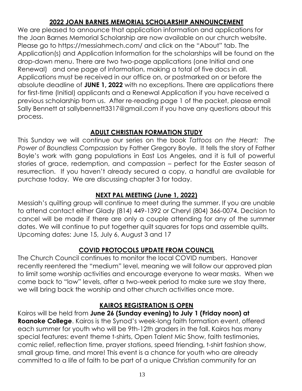# **2022 JOAN BARNES MEMORIAL SCHOLARSHIP ANNOUNCEMENT**

We are pleased to announce that application information and applications for the Joan Barnes Memorial Scholarship are now available on our church website. Please go to https://messiahmech.com/ and click on the "About" tab. The Application(s) and Application Information for the scholarships will be found on the drop-down menu. There are two two-page applications (one Initial and one Renewal) and one page of information, making a total of five docs in all. Applications must be received in our office on, or postmarked on or before the absolute deadline of **JUNE 1, 2022** with no exceptions. There are applications there for first-time (Initial) applicants and a Renewal Application if you have received a previous scholarship from us. After re-reading page 1 of the packet, please email Sally Bennett at sallybennett3317@gmail.com if you have any questions about this process.

# **ADULT CHRISTIAN FORMATION STUDY**

This Sunday we will continue our series on the book *Tattoos on the Heart: The Power of Boundless Compassion* by Father Gregory Boyle. It tells the story of Father Boyle's work with gang populations in East Los Angeles, and it is full of powerful stories of grace, redemption, and compassion – perfect for the Easter season of resurrection. If you haven't already secured a copy, a handful are available for purchase today. We are discussing chapter 3 for today.

# **NEXT PAL MEETING (June 1, 2022)**

Messiah's quilting group will continue to meet during the summer. If you are unable to attend contact either Glady (814) 449-1392 or Cheryl (804) 366-0074. Decision to cancel will be made if there are only a couple attending for any of the summer dates. We will continue to put together quilt squares for tops and assemble quilts. Upcoming dates: June 15, July 6, August 3 and 17

# **COVID PROTOCOLS UPDATE FROM COUNCIL**

The Church Council continues to monitor the local COVID numbers. Hanover recently reentered the "medium" level, meaning we will follow our approved plan to limit some worship activities and encourage everyone to wear masks. When we come back to "low" levels, after a two-week period to make sure we stay there, we will bring back the worship and other church activities once more.

# **KAIROS REGISTRATION IS OPEN**

Kairos will be held from **June 26 (Sunday evening) to July 1 (Friday noon) at Roanoke College**. Kairos is the Synod's week-long faith formation event, offered each summer for youth who will be 9th-12th graders in the fall. Kairos has many special features: event theme t-shirts, Open Talent Mic Show, faith testimonies, comic relief, reflection time, prayer stations, speed friending, t-shirt fashion show, small group time, and more! This event is a chance for youth who are already committed to a life of faith to be part of a unique Christian community for an